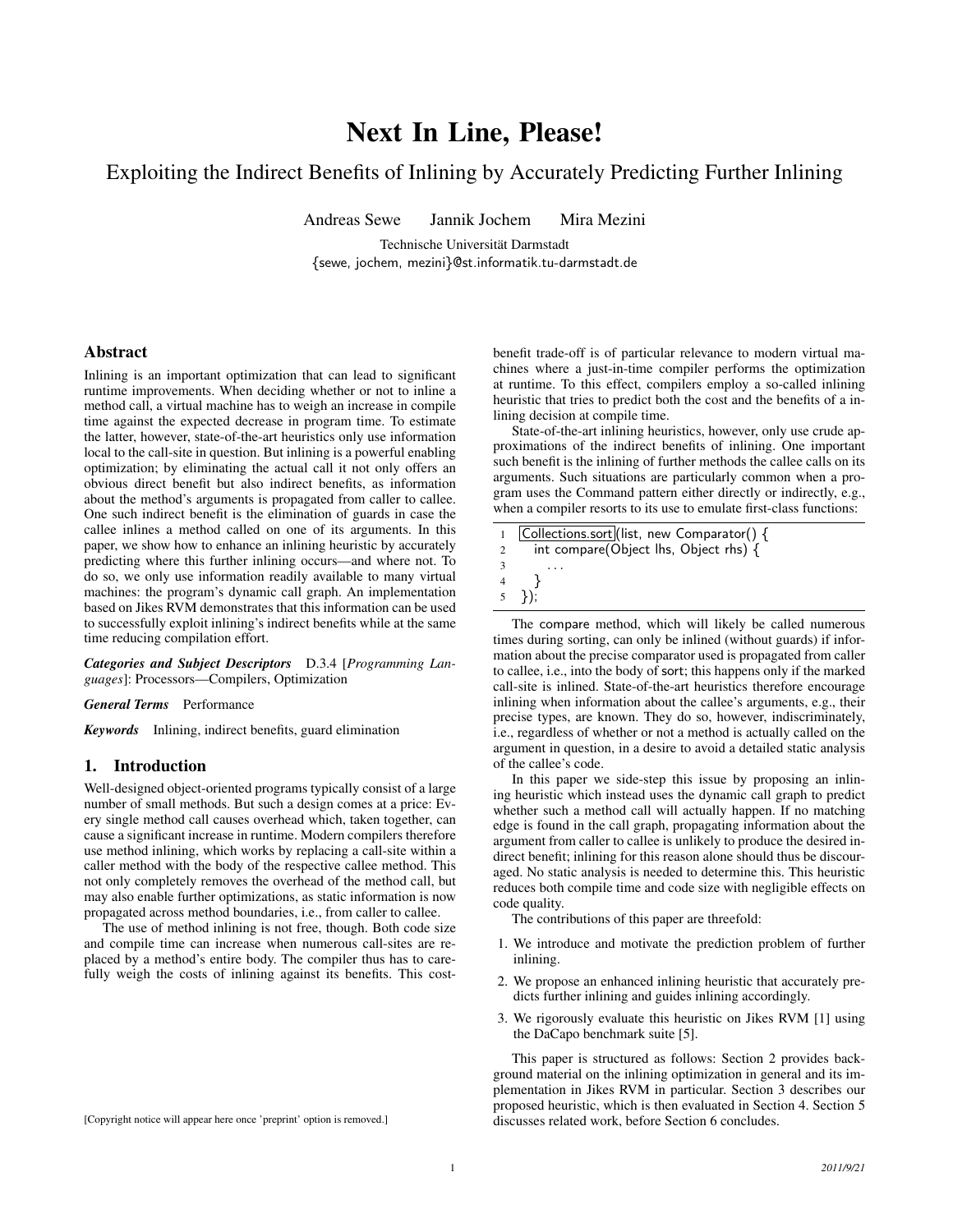# Next In Line, Please!

# Exploiting the Indirect Benefits of Inlining by Accurately Predicting Further Inlining

Andreas Sewe Jannik Jochem Mira Mezini

Technische Universität Darmstadt [{sewe,](mailto:sewe@st.informatik.tu-darmstadt.de) [jochem,](mailto:jochem@st.informatik.tu-darmstadt.de) [mezini}](mailto:mezini@st.informatik.tu-darmstadt.de)@st.informatik.tu-darmstadt.de

### Abstract

Inlining is an important optimization that can lead to significant runtime improvements. When deciding whether or not to inline a method call, a virtual machine has to weigh an increase in compile time against the expected decrease in program time. To estimate the latter, however, state-of-the-art heuristics only use information local to the call-site in question. But inlining is a powerful enabling optimization; by eliminating the actual call it not only offers an obvious direct benefit but also indirect benefits, as information about the method's arguments is propagated from caller to callee. One such indirect benefit is the elimination of guards in case the callee inlines a method called on one of its arguments. In this paper, we show how to enhance an inlining heuristic by accurately predicting where this further inlining occurs—and where not. To do so, we only use information readily available to many virtual machines: the program's dynamic call graph. An implementation based on Jikes RVM demonstrates that this information can be used to successfully exploit inlining's indirect benefits while at the same time reducing compilation effort.

*Categories and Subject Descriptors* D.3.4 [*Programming Languages*]: Processors—Compilers, Optimization

#### *General Terms* Performance

*Keywords* Inlining, indirect benefits, guard elimination

### 1. Introduction

Well-designed object-oriented programs typically consist of a large number of small methods. But such a design comes at a price: Every single method call causes overhead which, taken together, can cause a significant increase in runtime. Modern compilers therefore use method inlining, which works by replacing a call-site within a caller method with the body of the respective callee method. This not only completely removes the overhead of the method call, but may also enable further optimizations, as static information is now propagated across method boundaries, i.e., from caller to callee.

The use of method inlining is not free, though. Both code size and compile time can increase when numerous call-sites are replaced by a method's entire body. The compiler thus has to carefully weigh the costs of inlining against its benefits. This costbenefit trade-off is of particular relevance to modern virtual machines where a just-in-time compiler performs the optimization at runtime. To this effect, compilers employ a so-called inlining heuristic that tries to predict both the cost and the benefits of a inlining decision at compile time.

State-of-the-art inlining heuristics, however, only use crude approximations of the indirect benefits of inlining. One important such benefit is the inlining of further methods the callee calls on its arguments. Such situations are particularly common when a program uses the Command pattern either directly or indirectly, e.g., when a compiler resorts to its use to emulate first-class functions:

|                | 1 Collections.sort (list, new Comparator() { |
|----------------|----------------------------------------------|
| $\overline{2}$ | int compare(Object lhs, Object rhs) {        |
| 3              |                                              |
| 4              |                                              |
|                | $(5)$ }):                                    |
|                |                                              |

The compare method, which will likely be called numerous times during sorting, can only be inlined (without guards) if information about the precise comparator used is propagated from caller to callee, i.e., into the body of sort; this happens only if the marked call-site is inlined. State-of-the-art heuristics therefore encourage inlining when information about the callee's arguments, e.g., their precise types, are known. They do so, however, indiscriminately, i.e., regardless of whether or not a method is actually called on the argument in question, in a desire to avoid a detailed static analysis of the callee's code.

In this paper we side-step this issue by proposing an inlining heuristic which instead uses the dynamic call graph to predict whether such a method call will actually happen. If no matching edge is found in the call graph, propagating information about the argument from caller to callee is unlikely to produce the desired indirect benefit; inlining for this reason alone should thus be discouraged. No static analysis is needed to determine this. This heuristic reduces both compile time and code size with negligible effects on code quality.

The contributions of this paper are threefold:

- 1. We introduce and motivate the prediction problem of further inlining.
- 2. We propose an enhanced inlining heuristic that accurately predicts further inlining and guides inlining accordingly.
- 3. We rigorously evaluate this heuristic on Jikes RVM [\[1\]](#page-9-0) using the DaCapo benchmark suite [\[5\]](#page-9-1).

This paper is structured as follows: [Section 2](#page-1-0) provides background material on the inlining optimization in general and its implementation in Jikes RVM in particular. [Section 3](#page-2-0) describes our proposed heuristic, which is then evaluated in [Section 4.](#page-3-0) [Section 5](#page-5-0) discusses related work, before [Section 6](#page-7-0) concludes.

[Copyright notice will appear here once 'preprint' option is removed.]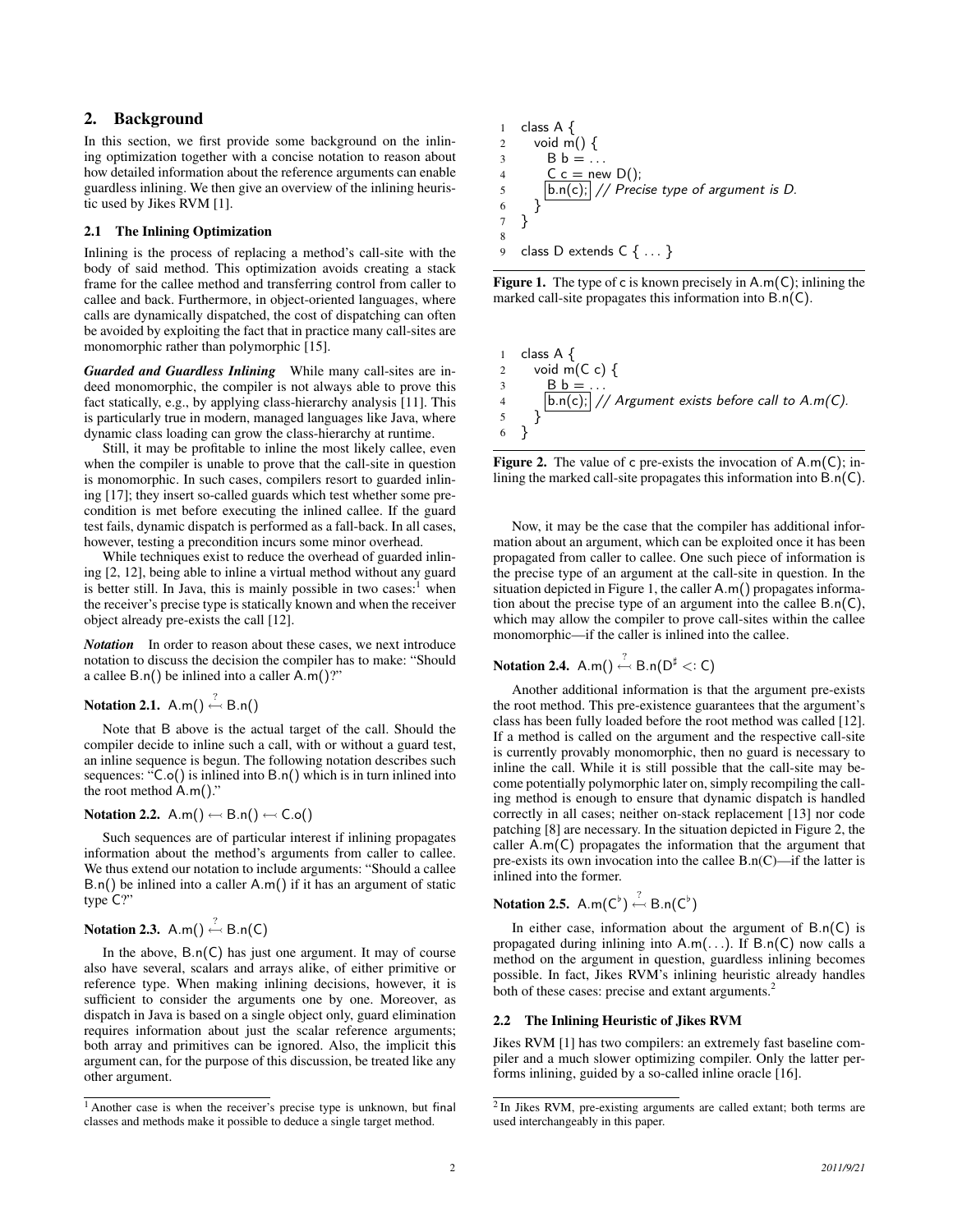# <span id="page-1-0"></span>2. Background

In this section, we first provide some background on the inlining optimization together with a concise notation to reason about how detailed information about the reference arguments can enable guardless inlining. We then give an overview of the inlining heuristic used by Jikes RVM [\[1\]](#page-9-0).

### 2.1 The Inlining Optimization

Inlining is the process of replacing a method's call-site with the body of said method. This optimization avoids creating a stack frame for the callee method and transferring control from caller to callee and back. Furthermore, in object-oriented languages, where calls are dynamically dispatched, the cost of dispatching can often be avoided by exploiting the fact that in practice many call-sites are monomorphic rather than polymorphic [\[15\]](#page-9-2).

*Guarded and Guardless Inlining* While many call-sites are indeed monomorphic, the compiler is not always able to prove this fact statically, e.g., by applying class-hierarchy analysis [\[11\]](#page-9-3). This is particularly true in modern, managed languages like Java, where dynamic class loading can grow the class-hierarchy at runtime.

Still, it may be profitable to inline the most likely callee, even when the compiler is unable to prove that the call-site in question is monomorphic. In such cases, compilers resort to guarded inlining [\[17\]](#page-9-4); they insert so-called guards which test whether some precondition is met before executing the inlined callee. If the guard test fails, dynamic dispatch is performed as a fall-back. In all cases, however, testing a precondition incurs some minor overhead.

While techniques exist to reduce the overhead of guarded inlining [\[2,](#page-9-5) [12\]](#page-9-6), being able to inline a virtual method without any guard is better still. In Java, this is mainly possible in two cases:<sup>1</sup> when the receiver's precise type is statically known and when the receiver object already pre-exists the call [\[12\]](#page-9-6).

*Notation* In order to reason about these cases, we next introduce notation to discuss the decision the compiler has to make: "Should a callee  $B.n()$  be inlined into a caller  $A.m()$ ?"

# Notation 2.1.  $A.m() \stackrel{?}{\leftarrow} B.n()$

Note that B above is the actual target of the call. Should the compiler decide to inline such a call, with or without a guard test, an inline sequence is begun. The following notation describes such sequences: "C.o() is inlined into B.n() which is in turn inlined into the root method A.m()."

### Notation 2.2.  $A.m() \leftarrow B.n() \leftarrow C.o()$

Such sequences are of particular interest if inlining propagates information about the method's arguments from caller to callee. We thus extend our notation to include arguments: "Should a callee B.n() be inlined into a caller A.m() if it has an argument of static type C?"

# Notation 2.3.  $A.m() \stackrel{?}{\leftarrow} B.n(C)$

In the above,  $B.n(C)$  has just one argument. It may of course also have several, scalars and arrays alike, of either primitive or reference type. When making inlining decisions, however, it is sufficient to consider the arguments one by one. Moreover, as dispatch in Java is based on a single object only, guard elimination requires information about just the scalar reference arguments; both array and primitives can be ignored. Also, the implicit this argument can, for the purpose of this discussion, be treated like any other argument.

<span id="page-1-1"></span>1 class A { 2 void m() { 3 B b = . . . 4 C c = new D(); 5 b.n(c); // Precise type of argument is D. 6 } 7 } 8 9 class D extends C { . . . }

**Figure 1.** The type of c is known precisely in  $A.m(C)$ ; inlining the marked call-site propagates this information into B.n(C).

<span id="page-1-2"></span>1 class A { 2 void m(C c) { 3 B b = . . . 4 b.n(c); // Argument exists before call to A.m(C). 5 } 6 }

**Figure 2.** The value of c pre-exists the invocation of  $A.m(C)$ ; inlining the marked call-site propagates this information into B.n(C).

Now, it may be the case that the compiler has additional information about an argument, which can be exploited once it has been propagated from caller to callee. One such piece of information is the precise type of an argument at the call-site in question. In the situation depicted in [Figure 1,](#page-1-1) the caller A.m() propagates information about the precise type of an argument into the callee B.n(C), which may allow the compiler to prove call-sites within the callee monomorphic—if the caller is inlined into the callee.

# Notation 2.4. A.m()  $\stackrel{?}{\leftarrow}$  B.n( $D^{\sharp}$  <: C)

Another additional information is that the argument pre-exists the root method. This pre-existence guarantees that the argument's class has been fully loaded before the root method was called [\[12\]](#page-9-6). If a method is called on the argument and the respective call-site is currently provably monomorphic, then no guard is necessary to inline the call. While it is still possible that the call-site may become potentially polymorphic later on, simply recompiling the calling method is enough to ensure that dynamic dispatch is handled correctly in all cases; neither on-stack replacement [\[13\]](#page-9-7) nor code patching [\[8\]](#page-9-8) are necessary. In the situation depicted in [Figure 2,](#page-1-2) the caller A.m(C) propagates the information that the argument that pre-exists its own invocation into the callee  $B.n(C)$ —if the latter is inlined into the former.

**Notation 2.5.** A.m(
$$
C^{\flat}
$$
)  $\stackrel{?}{\leftarrow}$  B.n( $C^{\flat}$ )

In either case, information about the argument of  $B.n(C)$  is propagated during inlining into  $A.m($ ...). If  $B.n(C)$  now calls a method on the argument in question, guardless inlining becomes possible. In fact, Jikes RVM's inlining heuristic already handles both of these cases: precise and extant arguments.<sup>2</sup>

#### <span id="page-1-3"></span>2.2 The Inlining Heuristic of Jikes RVM

Jikes RVM [\[1\]](#page-9-0) has two compilers: an extremely fast baseline compiler and a much slower optimizing compiler. Only the latter performs inlining, guided by a so-called inline oracle [\[16\]](#page-9-9).

<sup>&</sup>lt;sup>1</sup> Another case is when the receiver's precise type is unknown, but final classes and methods make it possible to deduce a single target method.

<sup>&</sup>lt;sup>2</sup> In Jikes RVM, pre-existing arguments are called extant; both terms are used interchangeably in this paper.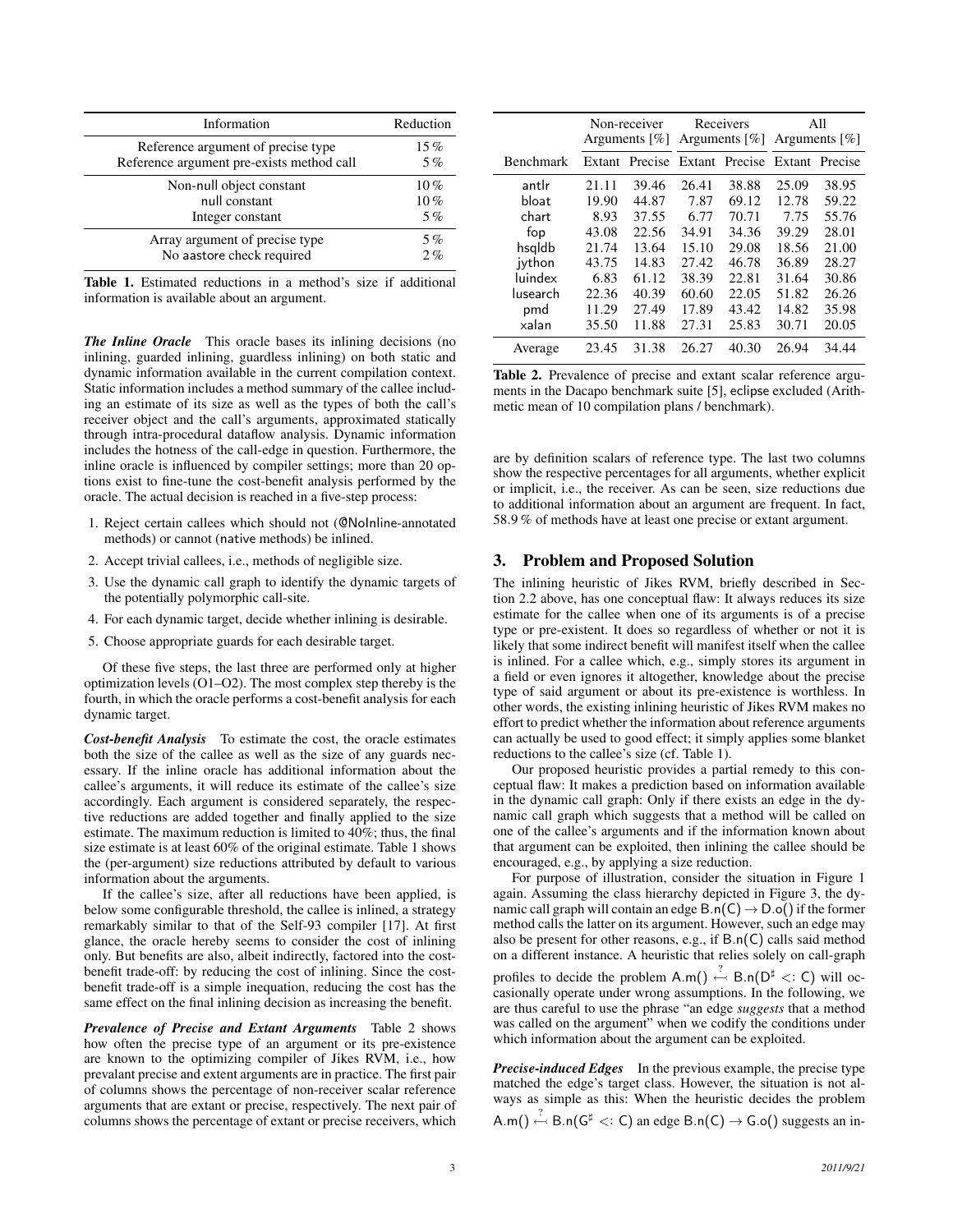<span id="page-2-1"></span>

| Information                               | Reduction |
|-------------------------------------------|-----------|
| Reference argument of precise type        | 15%       |
| Reference argument pre-exists method call | 5%        |
| Non-null object constant                  | 10%       |
| null constant                             | 10%       |
| Integer constant                          | 5%        |
| Array argument of precise type            | 5%        |
| No aastore check required                 | 2%        |

Table 1. Estimated reductions in a method's size if additional information is available about an argument.

*The Inline Oracle* This oracle bases its inlining decisions (no inlining, guarded inlining, guardless inlining) on both static and dynamic information available in the current compilation context. Static information includes a method summary of the callee including an estimate of its size as well as the types of both the call's receiver object and the call's arguments, approximated statically through intra-procedural dataflow analysis. Dynamic information includes the hotness of the call-edge in question. Furthermore, the inline oracle is influenced by compiler settings; more than 20 options exist to fine-tune the cost-benefit analysis performed by the oracle. The actual decision is reached in a five-step process:

- 1. Reject certain callees which should not (@NoInline-annotated methods) or cannot (native methods) be inlined.
- 2. Accept trivial callees, i.e., methods of negligible size.
- 3. Use the dynamic call graph to identify the dynamic targets of the potentially polymorphic call-site.
- 4. For each dynamic target, decide whether inlining is desirable.
- 5. Choose appropriate guards for each desirable target.

Of these five steps, the last three are performed only at higher optimization levels (O1–O2). The most complex step thereby is the fourth, in which the oracle performs a cost-benefit analysis for each dynamic target.

*Cost-benefit Analysis* To estimate the cost, the oracle estimates both the size of the callee as well as the size of any guards necessary. If the inline oracle has additional information about the callee's arguments, it will reduce its estimate of the callee's size accordingly. Each argument is considered separately, the respective reductions are added together and finally applied to the size estimate. The maximum reduction is limited to 40%; thus, the final size estimate is at least 60% of the original estimate. [Table 1](#page-2-1) shows the (per-argument) size reductions attributed by default to various information about the arguments.

If the callee's size, after all reductions have been applied, is below some configurable threshold, the callee is inlined, a strategy remarkably similar to that of the Self-93 compiler [\[17\]](#page-9-4). At first glance, the oracle hereby seems to consider the cost of inlining only. But benefits are also, albeit indirectly, factored into the costbenefit trade-off: by reducing the cost of inlining. Since the costbenefit trade-off is a simple inequation, reducing the cost has the same effect on the final inlining decision as increasing the benefit.

*Prevalence of Precise and Extant Arguments* [Table 2](#page-2-2) shows how often the precise type of an argument or its pre-existence are known to the optimizing compiler of Jikes RVM, i.e., how prevalant precise and extent arguments are in practice. The first pair of columns shows the percentage of non-receiver scalar reference arguments that are extant or precise, respectively. The next pair of columns shows the percentage of extant or precise receivers, which

<span id="page-2-2"></span>

|                  | Non-receiver<br>Arguments $[\%]$ |         | Receivers<br>Arguments $[\%]$ |                | All<br>Arguments $[\%]$ |                |
|------------------|----------------------------------|---------|-------------------------------|----------------|-------------------------|----------------|
| <b>Benchmark</b> | Extant                           | Precise |                               | Extant Precise |                         | Extant Precise |
| antlr            | 21.11                            | 39.46   | 26.41                         | 38.88          | 25.09                   | 38.95          |
| bloat            | 19.90                            | 44.87   | 7.87                          | 69.12          | 12.78                   | 59.22          |
| chart            | 8.93                             | 37.55   | 6.77                          | 70.71          | 7.75                    | 55.76          |
| fop              | 43.08                            | 22.56   | 34.91                         | 34.36          | 39.29                   | 28.01          |
| hsqldb           | 21.74                            | 13.64   | 15.10                         | 29.08          | 18.56                   | 21.00          |
| ivthon           | 43.75                            | 14.83   | 27.42                         | 46.78          | 36.89                   | 28.27          |
| luindex          | 6.83                             | 61.12   | 38.39                         | 22.81          | 31.64                   | 30.86          |
| lusearch         | 22.36                            | 40.39   | 60.60                         | 22.05          | 51.82                   | 26.26          |
| pmd              | 11.29                            | 27.49   | 17.89                         | 43.42          | 14.82                   | 35.98          |
| xalan            | 35.50                            | 11.88   | 27.31                         | 25.83          | 30.71                   | 20.05          |
| Average          | 23.45                            | 31.38   | 26.27                         | 40.30          | 26.94                   | 34.44          |

Table 2. Prevalence of precise and extant scalar reference arguments in the Dacapo benchmark suite [\[5\]](#page-9-1), eclipse excluded (Arithmetic mean of 10 compilation plans / benchmark).

are by definition scalars of reference type. The last two columns show the respective percentages for all arguments, whether explicit or implicit, i.e., the receiver. As can be seen, size reductions due to additional information about an argument are frequent. In fact, 58.9 % of methods have at least one precise or extant argument.

### <span id="page-2-0"></span>3. Problem and Proposed Solution

The inlining heuristic of Jikes RVM, briefly described in [Sec](#page-1-3)[tion 2.2](#page-1-3) above, has one conceptual flaw: It always reduces its size estimate for the callee when one of its arguments is of a precise type or pre-existent. It does so regardless of whether or not it is likely that some indirect benefit will manifest itself when the callee is inlined. For a callee which, e.g., simply stores its argument in a field or even ignores it altogether, knowledge about the precise type of said argument or about its pre-existence is worthless. In other words, the existing inlining heuristic of Jikes RVM makes no effort to predict whether the information about reference arguments can actually be used to good effect; it simply applies some blanket reductions to the callee's size (cf. [Table 1\)](#page-2-1).

Our proposed heuristic provides a partial remedy to this conceptual flaw: It makes a prediction based on information available in the dynamic call graph: Only if there exists an edge in the dynamic call graph which suggests that a method will be called on one of the callee's arguments and if the information known about that argument can be exploited, then inlining the callee should be encouraged, e.g., by applying a size reduction.

For purpose of illustration, consider the situation in [Figure 1](#page-1-1) again. Assuming the class hierarchy depicted in [Figure 3,](#page-3-1) the dynamic call graph will contain an edge  $B.n(C) \rightarrow D.o()$  if the former method calls the latter on its argument. However, such an edge may also be present for other reasons, e.g., if B.n(C) calls said method on a different instance. A heuristic that relies solely on call-graph profiles to decide the problem A.m()  $\stackrel{?}{\leftarrow}$  B.n( $D^{\sharp}$  <: C) will occasionally operate under wrong assumptions. In the following, we are thus careful to use the phrase "an edge *suggests* that a method was called on the argument" when we codify the conditions under which information about the argument can be exploited.

*Precise-induced Edges* In the previous example, the precise type matched the edge's target class. However, the situation is not always as simple as this: When the heuristic decides the problem A.m()  $\stackrel{\leftarrow}{\leftarrow}$  B.n( $G^{\sharp}$  <: C) an edge B.n(C)  $\rightarrow$  G.o() suggests an in-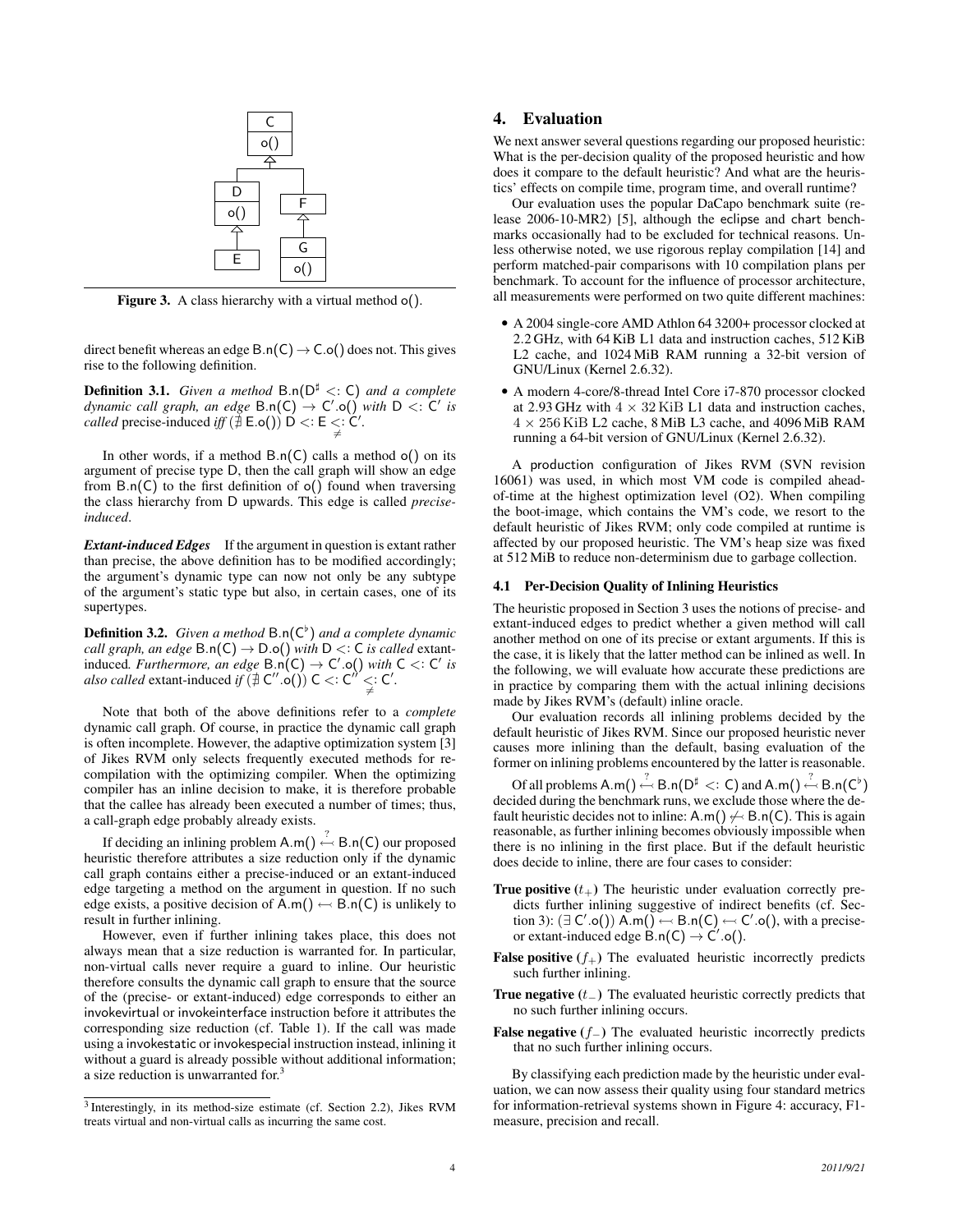<span id="page-3-1"></span>

Figure 3. A class hierarchy with a virtual method o().

direct benefit whereas an edge  $B.n(C) \rightarrow C.o()$  does not. This gives rise to the following definition.

Definition 3.1. *Given a method* B.n(D<sup>♯</sup> <: C) *and a complete*  $d$ ynamic call graph, an edge  $B.n(C) \rightarrow C'.o()$  with  $D <: C'$  is *called* precise-induced *iff*  $(\nexists E.o() )\nD' \lt E E \leq C'.$ 

In other words, if a method  $B.n(C)$  calls a method  $o()$  on its argument of precise type D, then the call graph will show an edge from  $B.n(C)$  to the first definition of  $o()$  found when traversing the class hierarchy from D upwards. This edge is called *preciseinduced*.

*Extant-induced Edges* If the argument in question is extant rather than precise, the above definition has to be modified accordingly; the argument's dynamic type can now not only be any subtype of the argument's static type but also, in certain cases, one of its supertypes.

Definition 3.2. *Given a method* B.n(C♭ ) *and a complete dynamic call graph, an edge*  $B.n(C) \rightarrow D.o()$  *with*  $D <: C$  *is called* extantinduced. Furthermore, an edge B.n(C) → C'.o() with C <: C' is also called extant-induced if  $(\nexists C'' \circ ()) C$  <: C'' <: C'.

Note that both of the above definitions refer to a *complete* dynamic call graph. Of course, in practice the dynamic call graph is often incomplete. However, the adaptive optimization system [\[3\]](#page-9-10) of Jikes RVM only selects frequently executed methods for recompilation with the optimizing compiler. When the optimizing compiler has an inline decision to make, it is therefore probable that the callee has already been executed a number of times; thus, a call-graph edge probably already exists.

If deciding an inlining problem  $A.m() \stackrel{?}{\leftarrow} B.n(C)$  our proposed heuristic therefore attributes a size reduction only if the dynamic call graph contains either a precise-induced or an extant-induced edge targeting a method on the argument in question. If no such edge exists, a positive decision of  $A.m() \leftarrow B.n(C)$  is unlikely to result in further inlining.

However, even if further inlining takes place, this does not always mean that a size reduction is warranted for. In particular, non-virtual calls never require a guard to inline. Our heuristic therefore consults the dynamic call graph to ensure that the source of the (precise- or extant-induced) edge corresponds to either an invokevirtual or invokeinterface instruction before it attributes the corresponding size reduction (cf. [Table 1\)](#page-2-1). If the call was made using a invokestatic or invokespecial instruction instead, inlining it without a guard is already possible without additional information; a size reduction is unwarranted for.<sup>3</sup>

# <span id="page-3-0"></span>4. Evaluation

We next answer several questions regarding our proposed heuristic: What is the per-decision quality of the proposed heuristic and how does it compare to the default heuristic? And what are the heuristics' effects on compile time, program time, and overall runtime?

Our evaluation uses the popular DaCapo benchmark suite (release 2006-10-MR2) [\[5\]](#page-9-1), although the eclipse and chart benchmarks occasionally had to be excluded for technical reasons. Unless otherwise noted, we use rigorous replay compilation [\[14\]](#page-9-11) and perform matched-pair comparisons with 10 compilation plans per benchmark. To account for the influence of processor architecture, all measurements were performed on two quite different machines:

- A 2004 single-core AMD Athlon 64 3200+ processor clocked at 2.2 GHz, with 64 KiB L1 data and instruction caches, 512 KiB L2 cache, and 1024 MiB RAM running a 32-bit version of GNU/Linux (Kernel 2.6.32).
- A modern 4-core/8-thread Intel Core i7-870 processor clocked at 2.93 GHz with  $4 \times 32$  KiB L1 data and instruction caches,  $4 \times 256$  KiB L2 cache, 8 MiB L3 cache, and 4096 MiB RAM running a 64-bit version of GNU/Linux (Kernel 2.6.32).

A production configuration of Jikes RVM (SVN revision 16061) was used, in which most VM code is compiled aheadof-time at the highest optimization level (O2). When compiling the boot-image, which contains the VM's code, we resort to the default heuristic of Jikes RVM; only code compiled at runtime is affected by our proposed heuristic. The VM's heap size was fixed at 512 MiB to reduce non-determinism due to garbage collection.

### 4.1 Per-Decision Quality of Inlining Heuristics

The heuristic proposed in [Section 3](#page-2-0) uses the notions of precise- and extant-induced edges to predict whether a given method will call another method on one of its precise or extant arguments. If this is the case, it is likely that the latter method can be inlined as well. In the following, we will evaluate how accurate these predictions are in practice by comparing them with the actual inlining decisions made by Jikes RVM's (default) inline oracle.

Our evaluation records all inlining problems decided by the default heuristic of Jikes RVM. Since our proposed heuristic never causes more inlining than the default, basing evaluation of the former on inlining problems encountered by the latter is reasonable.

Of all problems  $A.m() \stackrel{?}{\leftarrow} B.n(D^{\sharp} <: C)$  and  $A.m() \stackrel{?}{\leftarrow} B.n(C^{\flat})$ decided during the benchmark runs, we exclude those where the default heuristic decides not to inline:  $A.m() \nleftrightarrow B.n(C)$ . This is again reasonable, as further inlining becomes obviously impossible when there is no inlining in the first place. But if the default heuristic does decide to inline, there are four cases to consider:

- **True positive**  $(t_{+})$  The heuristic under evaluation correctly predicts further inlining suggestive of indirect benefits (cf. [Sec](#page-2-0)[tion 3\)](#page-2-0):  $(\exists C'.o()) \land m() \leftarrow B.n(C) \leftarrow C'.o(),$  with a preciseor extant-induced edge  $\check{\mathsf{B}}.\mathsf{n}(\mathsf{C}) \to \check{\mathsf{C}}'.\mathsf{o}(\mathsf{C})$ .
- **False positive**  $(f_{+})$  The evaluated heuristic incorrectly predicts such further inlining.
- True negative  $(t_+)$  The evaluated heuristic correctly predicts that no such further inlining occurs.
- **False negative**  $(f_+)$  The evaluated heuristic incorrectly predicts that no such further inlining occurs.

By classifying each prediction made by the heuristic under evaluation, we can now assess their quality using four standard metrics for information-retrieval systems shown in [Figure 4:](#page-4-0) accuracy, F1 measure, precision and recall.

<sup>&</sup>lt;sup>3</sup> Interestingly, in its method-size estimate (cf. [Section 2.2\)](#page-1-3), Jikes RVM treats virtual and non-virtual calls as incurring the same cost.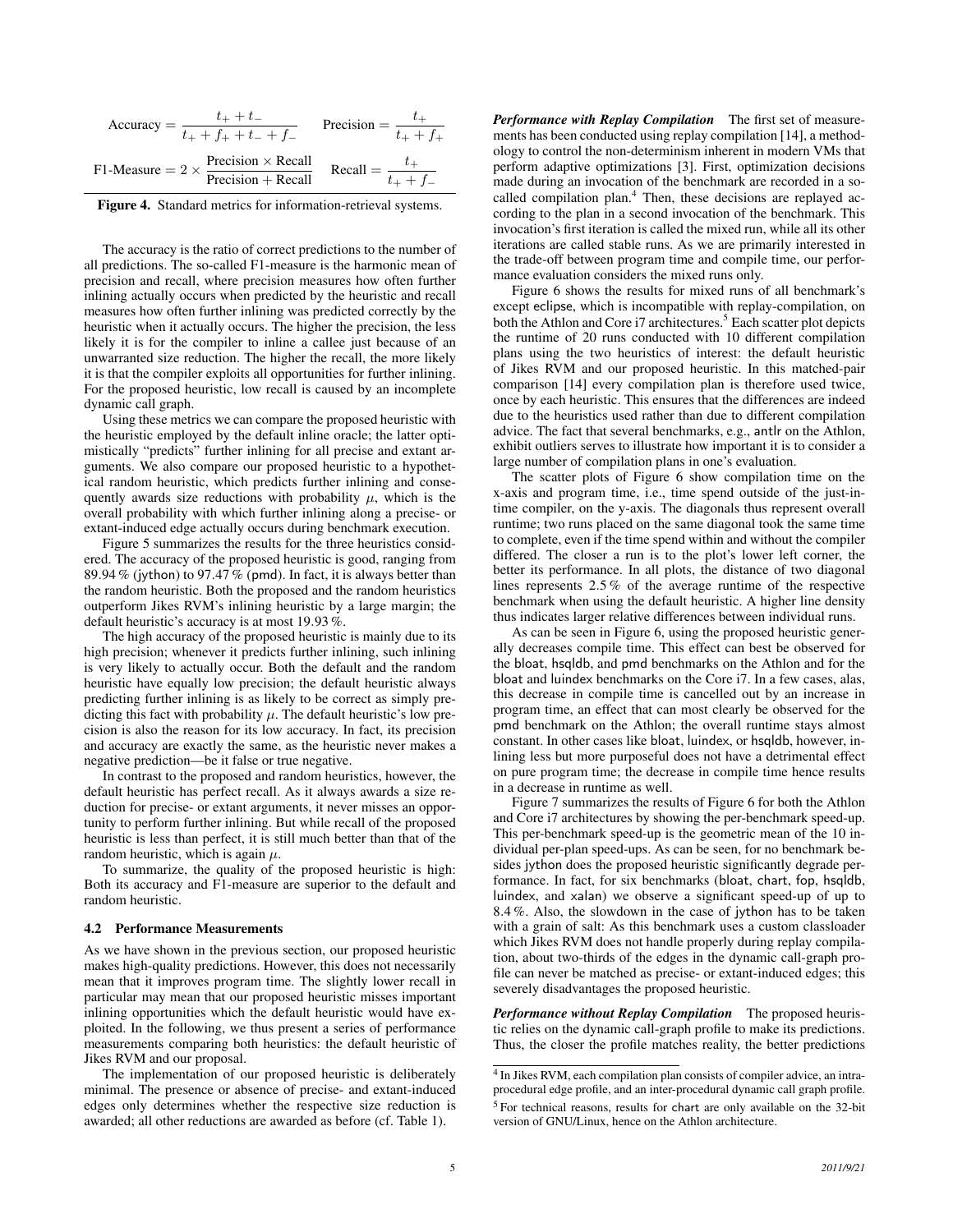<span id="page-4-0"></span>

| Accuracy = $\frac{1}{t_{+} + f_{+} + t_{-} + f_{-}}$ | $t_{+} + t_{-}$                                                                                        | Precision = $\frac{1}{t_{+} + f_{+}}$ |                 |
|------------------------------------------------------|--------------------------------------------------------------------------------------------------------|---------------------------------------|-----------------|
|                                                      | F1-Measure = $2 \times \frac{\text{Precision} \times \text{Recall}}{\text{Precision} + \text{Recall}}$ | Recall $=\frac{t_+}{t_+}$             | $t_{+} + f_{-}$ |

Figure 4. Standard metrics for information-retrieval systems.

The accuracy is the ratio of correct predictions to the number of all predictions. The so-called F1-measure is the harmonic mean of precision and recall, where precision measures how often further inlining actually occurs when predicted by the heuristic and recall measures how often further inlining was predicted correctly by the heuristic when it actually occurs. The higher the precision, the less likely it is for the compiler to inline a callee just because of an unwarranted size reduction. The higher the recall, the more likely it is that the compiler exploits all opportunities for further inlining. For the proposed heuristic, low recall is caused by an incomplete dynamic call graph.

Using these metrics we can compare the proposed heuristic with the heuristic employed by the default inline oracle; the latter optimistically "predicts" further inlining for all precise and extant arguments. We also compare our proposed heuristic to a hypothetical random heuristic, which predicts further inlining and consequently awards size reductions with probability  $\mu$ , which is the overall probability with which further inlining along a precise- or extant-induced edge actually occurs during benchmark execution.

[Figure 5](#page-5-1) summarizes the results for the three heuristics considered. The accuracy of the proposed heuristic is good, ranging from 89.94 % (jython) to 97.47 % (pmd). In fact, it is always better than the random heuristic. Both the proposed and the random heuristics outperform Jikes RVM's inlining heuristic by a large margin; the default heuristic's accuracy is at most 19.93 %.

The high accuracy of the proposed heuristic is mainly due to its high precision; whenever it predicts further inlining, such inlining is very likely to actually occur. Both the default and the random heuristic have equally low precision; the default heuristic always predicting further inlining is as likely to be correct as simply predicting this fact with probability  $\mu$ . The default heuristic's low precision is also the reason for its low accuracy. In fact, its precision and accuracy are exactly the same, as the heuristic never makes a negative prediction—be it false or true negative.

In contrast to the proposed and random heuristics, however, the default heuristic has perfect recall. As it always awards a size reduction for precise- or extant arguments, it never misses an opportunity to perform further inlining. But while recall of the proposed heuristic is less than perfect, it is still much better than that of the random heuristic, which is again  $\mu$ .

To summarize, the quality of the proposed heuristic is high: Both its accuracy and F1-measure are superior to the default and random heuristic.

### 4.2 Performance Measurements

As we have shown in the previous section, our proposed heuristic makes high-quality predictions. However, this does not necessarily mean that it improves program time. The slightly lower recall in particular may mean that our proposed heuristic misses important inlining opportunities which the default heuristic would have exploited. In the following, we thus present a series of performance measurements comparing both heuristics: the default heuristic of Jikes RVM and our proposal.

The implementation of our proposed heuristic is deliberately minimal. The presence or absence of precise- and extant-induced edges only determines whether the respective size reduction is awarded; all other reductions are awarded as before (cf. [Table 1\)](#page-2-1).

*Performance with Replay Compilation* The first set of measurements has been conducted using replay compilation [\[14\]](#page-9-11), a methodology to control the non-determinism inherent in modern VMs that perform adaptive optimizations [\[3\]](#page-9-10). First, optimization decisions made during an invocation of the benchmark are recorded in a socalled compilation plan.<sup>4</sup> Then, these decisions are replayed according to the plan in a second invocation of the benchmark. This invocation's first iteration is called the mixed run, while all its other iterations are called stable runs. As we are primarily interested in the trade-off between program time and compile time, our performance evaluation considers the mixed runs only.

[Figure 6](#page-6-0) shows the results for mixed runs of all benchmark's except eclipse, which is incompatible with replay-compilation, on both the Athlon and Core i7 architectures.<sup>5</sup> Each scatter plot depicts the runtime of 20 runs conducted with 10 different compilation plans using the two heuristics of interest: the default heuristic of Jikes RVM and our proposed heuristic. In this matched-pair comparison [\[14\]](#page-9-11) every compilation plan is therefore used twice, once by each heuristic. This ensures that the differences are indeed due to the heuristics used rather than due to different compilation advice. The fact that several benchmarks, e.g., antlr on the Athlon, exhibit outliers serves to illustrate how important it is to consider a large number of compilation plans in one's evaluation.

The scatter plots of [Figure 6](#page-6-0) show compilation time on the x-axis and program time, i.e., time spend outside of the just-intime compiler, on the y-axis. The diagonals thus represent overall runtime; two runs placed on the same diagonal took the same time to complete, even if the time spend within and without the compiler differed. The closer a run is to the plot's lower left corner, the better its performance. In all plots, the distance of two diagonal lines represents 2.5 % of the average runtime of the respective benchmark when using the default heuristic. A higher line density thus indicates larger relative differences between individual runs.

As can be seen in [Figure 6,](#page-6-0) using the proposed heuristic generally decreases compile time. This effect can best be observed for the bloat, hsqldb, and pmd benchmarks on the Athlon and for the bloat and luindex benchmarks on the Core i7. In a few cases, alas, this decrease in compile time is cancelled out by an increase in program time, an effect that can most clearly be observed for the pmd benchmark on the Athlon; the overall runtime stays almost constant. In other cases like bloat, luindex, or hsqldb, however, inlining less but more purposeful does not have a detrimental effect on pure program time; the decrease in compile time hence results in a decrease in runtime as well.

[Figure 7](#page-7-1) summarizes the results of [Figure 6](#page-6-0) for both the Athlon and Core i7 architectures by showing the per-benchmark speed-up. This per-benchmark speed-up is the geometric mean of the 10 individual per-plan speed-ups. As can be seen, for no benchmark besides jython does the proposed heuristic significantly degrade performance. In fact, for six benchmarks (bloat, chart, fop, hsqldb, luindex, and xalan) we observe a significant speed-up of up to 8.4 %. Also, the slowdown in the case of jython has to be taken with a grain of salt: As this benchmark uses a custom classloader which Jikes RVM does not handle properly during replay compilation, about two-thirds of the edges in the dynamic call-graph profile can never be matched as precise- or extant-induced edges; this severely disadvantages the proposed heuristic.

*Performance without Replay Compilation* The proposed heuristic relies on the dynamic call-graph profile to make its predictions. Thus, the closer the profile matches reality, the better predictions

<sup>&</sup>lt;sup>4</sup> In Jikes RVM, each compilation plan consists of compiler advice, an intraprocedural edge profile, and an inter-procedural dynamic call graph profile. <sup>5</sup> For technical reasons, results for chart are only available on the 32-bit version of GNU/Linux, hence on the Athlon architecture.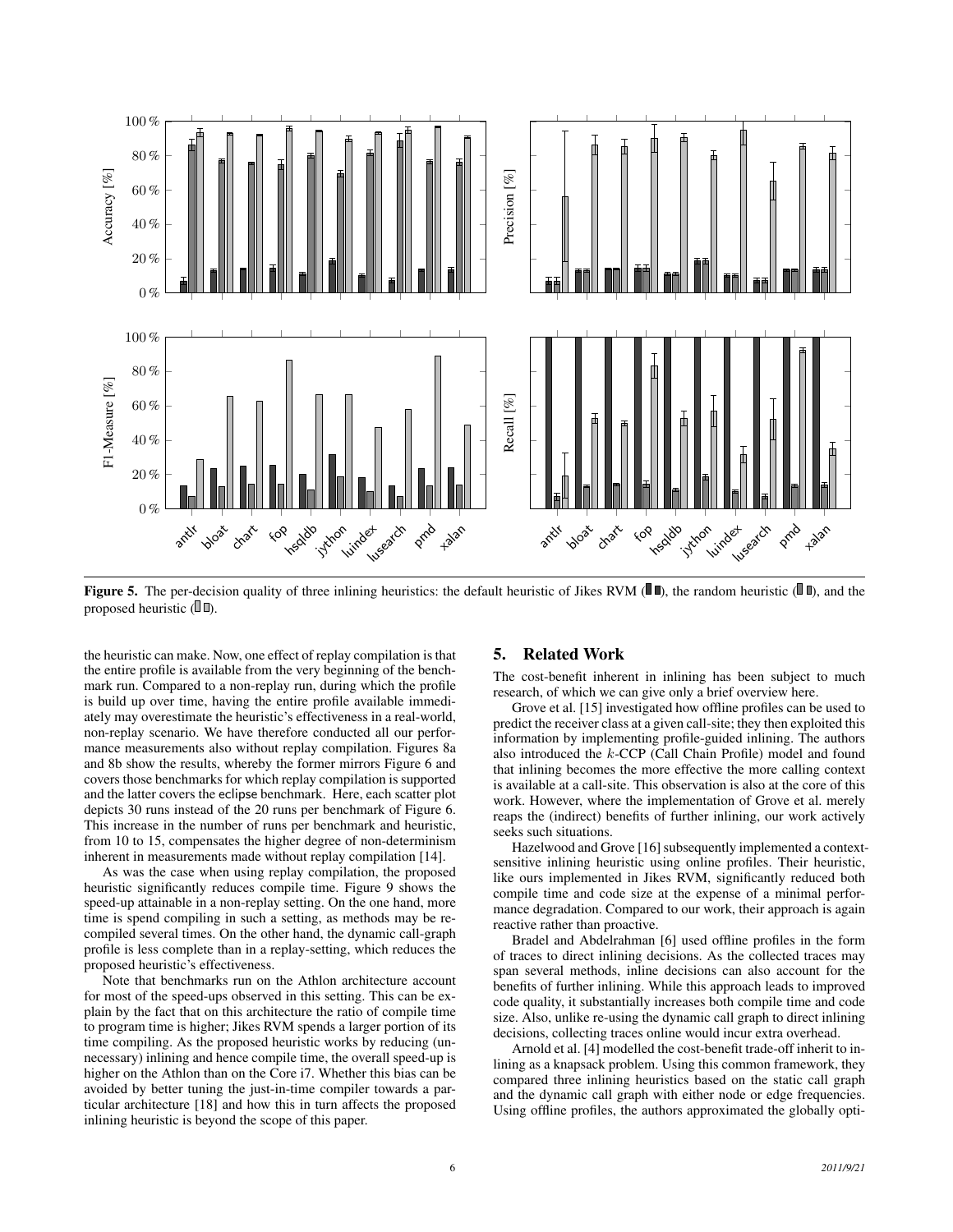<span id="page-5-1"></span>

**Figure 5.** The per-decision quality of three inlining heuristics: the default heuristic of Jikes RVM ( $\blacksquare$ ), the random heuristic ( $\blacksquare$ ), and the proposed heuristic  $(\mathbb{I} \mathbb{I})$ .

the heuristic can make. Now, one effect of replay compilation is that the entire profile is available from the very beginning of the benchmark run. Compared to a non-replay run, during which the profile is build up over time, having the entire profile available immediately may overestimate the heuristic's effectiveness in a real-world, non-replay scenario. We have therefore conducted all our performance measurements also without replay compilation. Figures [8a](#page-8-0) and [8b](#page-9-12) show the results, whereby the former mirrors [Figure 6](#page-6-0) and covers those benchmarks for which replay compilation is supported and the latter covers the eclipse benchmark. Here, each scatter plot depicts 30 runs instead of the 20 runs per benchmark of [Figure 6.](#page-6-0) This increase in the number of runs per benchmark and heuristic, from 10 to 15, compensates the higher degree of non-determinism inherent in measurements made without replay compilation [\[14\]](#page-9-11).

As was the case when using replay compilation, the proposed heuristic significantly reduces compile time. [Figure 9](#page-9-13) shows the speed-up attainable in a non-replay setting. On the one hand, more time is spend compiling in such a setting, as methods may be recompiled several times. On the other hand, the dynamic call-graph profile is less complete than in a replay-setting, which reduces the proposed heuristic's effectiveness.

Note that benchmarks run on the Athlon architecture account for most of the speed-ups observed in this setting. This can be explain by the fact that on this architecture the ratio of compile time to program time is higher; Jikes RVM spends a larger portion of its time compiling. As the proposed heuristic works by reducing (unnecessary) inlining and hence compile time, the overall speed-up is higher on the Athlon than on the Core i7. Whether this bias can be avoided by better tuning the just-in-time compiler towards a particular architecture [\[18\]](#page-9-14) and how this in turn affects the proposed inlining heuristic is beyond the scope of this paper.

### <span id="page-5-0"></span>5. Related Work

The cost-benefit inherent in inlining has been subject to much research, of which we can give only a brief overview here.

Grove et al. [\[15\]](#page-9-2) investigated how offline profiles can be used to predict the receiver class at a given call-site; they then exploited this information by implementing profile-guided inlining. The authors also introduced the k-CCP (Call Chain Profile) model and found that inlining becomes the more effective the more calling context is available at a call-site. This observation is also at the core of this work. However, where the implementation of Grove et al. merely reaps the (indirect) benefits of further inlining, our work actively seeks such situations.

Hazelwood and Grove [\[16\]](#page-9-9) subsequently implemented a contextsensitive inlining heuristic using online profiles. Their heuristic, like ours implemented in Jikes RVM, significantly reduced both compile time and code size at the expense of a minimal performance degradation. Compared to our work, their approach is again reactive rather than proactive.

Bradel and Abdelrahman [\[6\]](#page-9-15) used offline profiles in the form of traces to direct inlining decisions. As the collected traces may span several methods, inline decisions can also account for the benefits of further inlining. While this approach leads to improved code quality, it substantially increases both compile time and code size. Also, unlike re-using the dynamic call graph to direct inlining decisions, collecting traces online would incur extra overhead.

Arnold et al. [\[4\]](#page-9-16) modelled the cost-benefit trade-off inherit to inlining as a knapsack problem. Using this common framework, they compared three inlining heuristics based on the static call graph and the dynamic call graph with either node or edge frequencies. Using offline profiles, the authors approximated the globally opti-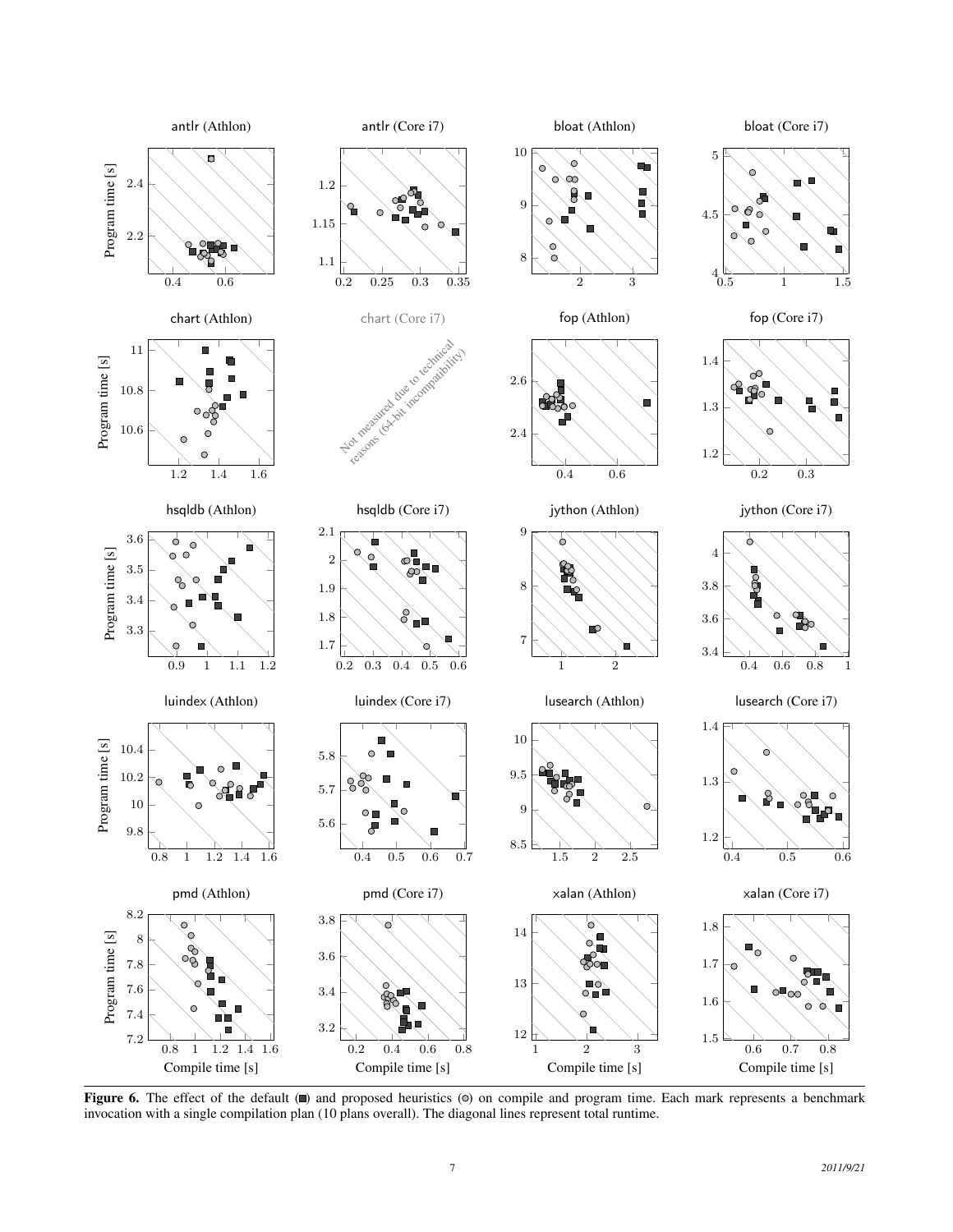<span id="page-6-0"></span>

Figure 6. The effect of the default  $(\blacksquare)$  and proposed heuristics  $(\heartsuit)$  on compile and program time. Each mark represents a benchmark invocation with a single compilation plan (10 plans overall). The diagonal lines represent total runtime.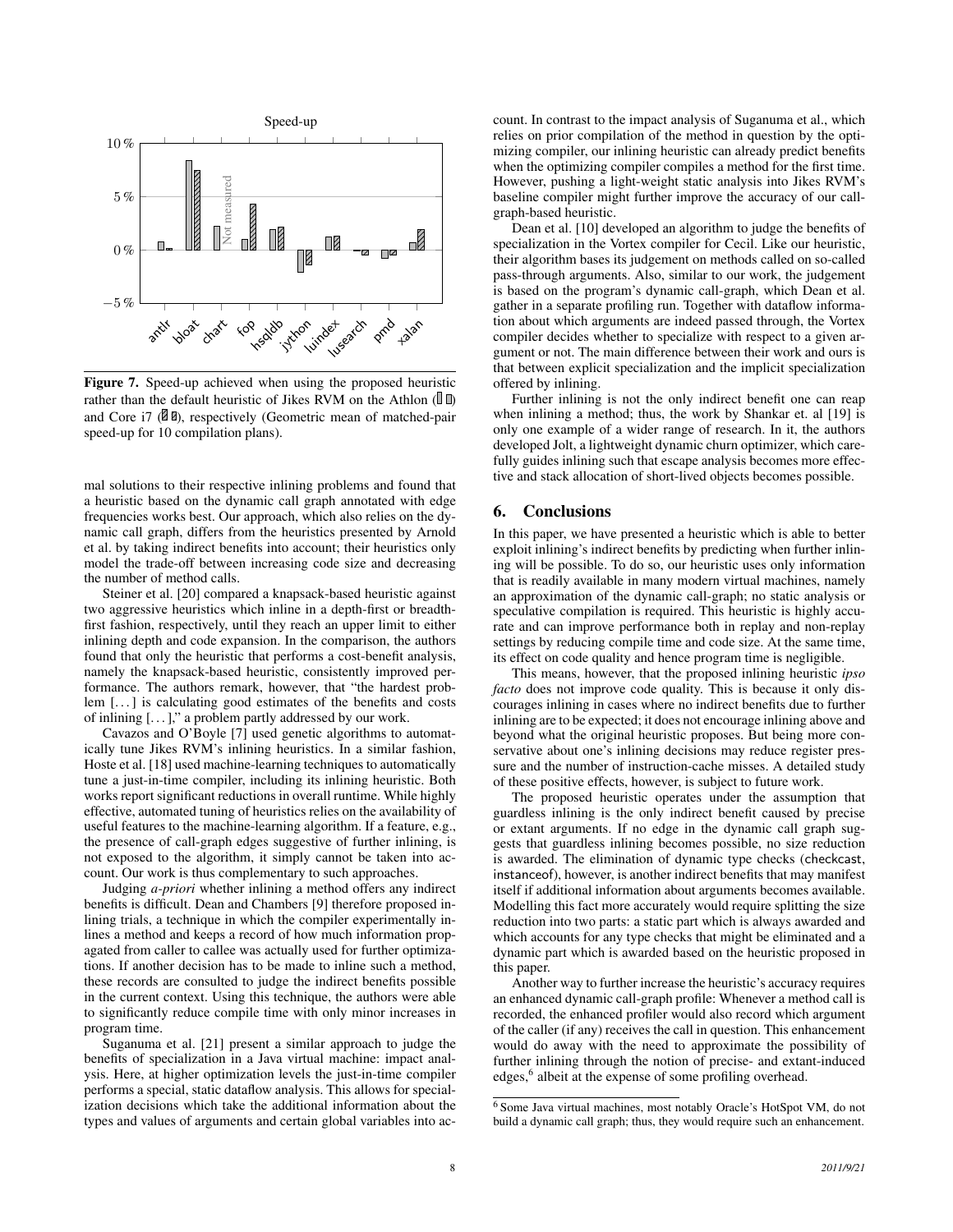<span id="page-7-1"></span>

Figure 7. Speed-up achieved when using the proposed heuristic rather than the default heuristic of Jikes RVM on the Athlon ( $\mathbb{I}$   $\mathbb{D}$ ) and Core i7 ( $\Box$  $\Box$ ), respectively (Geometric mean of matched-pair speed-up for 10 compilation plans).

mal solutions to their respective inlining problems and found that a heuristic based on the dynamic call graph annotated with edge frequencies works best. Our approach, which also relies on the dynamic call graph, differs from the heuristics presented by Arnold et al. by taking indirect benefits into account; their heuristics only model the trade-off between increasing code size and decreasing the number of method calls.

Steiner et al. [\[20\]](#page-9-17) compared a knapsack-based heuristic against two aggressive heuristics which inline in a depth-first or breadthfirst fashion, respectively, until they reach an upper limit to either inlining depth and code expansion. In the comparison, the authors found that only the heuristic that performs a cost-benefit analysis, namely the knapsack-based heuristic, consistently improved performance. The authors remark, however, that "the hardest problem [...] is calculating good estimates of the benefits and costs of inlining  $[\dots]$ ," a problem partly addressed by our work.

Cavazos and O'Boyle [\[7\]](#page-9-18) used genetic algorithms to automatically tune Jikes RVM's inlining heuristics. In a similar fashion, Hoste et al. [\[18\]](#page-9-14) used machine-learning techniques to automatically tune a just-in-time compiler, including its inlining heuristic. Both works report significant reductions in overall runtime. While highly effective, automated tuning of heuristics relies on the availability of useful features to the machine-learning algorithm. If a feature, e.g., the presence of call-graph edges suggestive of further inlining, is not exposed to the algorithm, it simply cannot be taken into account. Our work is thus complementary to such approaches.

Judging *a-priori* whether inlining a method offers any indirect benefits is difficult. Dean and Chambers [\[9\]](#page-9-19) therefore proposed inlining trials, a technique in which the compiler experimentally inlines a method and keeps a record of how much information propagated from caller to callee was actually used for further optimizations. If another decision has to be made to inline such a method, these records are consulted to judge the indirect benefits possible in the current context. Using this technique, the authors were able to significantly reduce compile time with only minor increases in program time.

Suganuma et al. [\[21\]](#page-9-20) present a similar approach to judge the benefits of specialization in a Java virtual machine: impact analysis. Here, at higher optimization levels the just-in-time compiler performs a special, static dataflow analysis. This allows for specialization decisions which take the additional information about the types and values of arguments and certain global variables into account. In contrast to the impact analysis of Suganuma et al., which relies on prior compilation of the method in question by the optimizing compiler, our inlining heuristic can already predict benefits when the optimizing compiler compiles a method for the first time. However, pushing a light-weight static analysis into Jikes RVM's baseline compiler might further improve the accuracy of our callgraph-based heuristic.

Dean et al. [\[10\]](#page-9-21) developed an algorithm to judge the benefits of specialization in the Vortex compiler for Cecil. Like our heuristic, their algorithm bases its judgement on methods called on so-called pass-through arguments. Also, similar to our work, the judgement is based on the program's dynamic call-graph, which Dean et al. gather in a separate profiling run. Together with dataflow information about which arguments are indeed passed through, the Vortex compiler decides whether to specialize with respect to a given argument or not. The main difference between their work and ours is that between explicit specialization and the implicit specialization offered by inlining.

Further inlining is not the only indirect benefit one can reap when inlining a method; thus, the work by Shankar et. al [\[19\]](#page-9-22) is only one example of a wider range of research. In it, the authors developed Jolt, a lightweight dynamic churn optimizer, which carefully guides inlining such that escape analysis becomes more effective and stack allocation of short-lived objects becomes possible.

### <span id="page-7-0"></span>6. Conclusions

In this paper, we have presented a heuristic which is able to better exploit inlining's indirect benefits by predicting when further inlining will be possible. To do so, our heuristic uses only information that is readily available in many modern virtual machines, namely an approximation of the dynamic call-graph; no static analysis or speculative compilation is required. This heuristic is highly accurate and can improve performance both in replay and non-replay settings by reducing compile time and code size. At the same time, its effect on code quality and hence program time is negligible.

This means, however, that the proposed inlining heuristic *ipso facto* does not improve code quality. This is because it only discourages inlining in cases where no indirect benefits due to further inlining are to be expected; it does not encourage inlining above and beyond what the original heuristic proposes. But being more conservative about one's inlining decisions may reduce register pressure and the number of instruction-cache misses. A detailed study of these positive effects, however, is subject to future work.

The proposed heuristic operates under the assumption that guardless inlining is the only indirect benefit caused by precise or extant arguments. If no edge in the dynamic call graph suggests that guardless inlining becomes possible, no size reduction is awarded. The elimination of dynamic type checks (checkcast, instanceof), however, is another indirect benefits that may manifest itself if additional information about arguments becomes available. Modelling this fact more accurately would require splitting the size reduction into two parts: a static part which is always awarded and which accounts for any type checks that might be eliminated and a dynamic part which is awarded based on the heuristic proposed in this paper.

Another way to further increase the heuristic's accuracy requires an enhanced dynamic call-graph profile: Whenever a method call is recorded, the enhanced profiler would also record which argument of the caller (if any) receives the call in question. This enhancement would do away with the need to approximate the possibility of further inlining through the notion of precise- and extant-induced edges,<sup>6</sup> albeit at the expense of some profiling overhead.

<sup>6</sup> Some Java virtual machines, most notably Oracle's HotSpot VM, do not build a dynamic call graph; thus, they would require such an enhancement.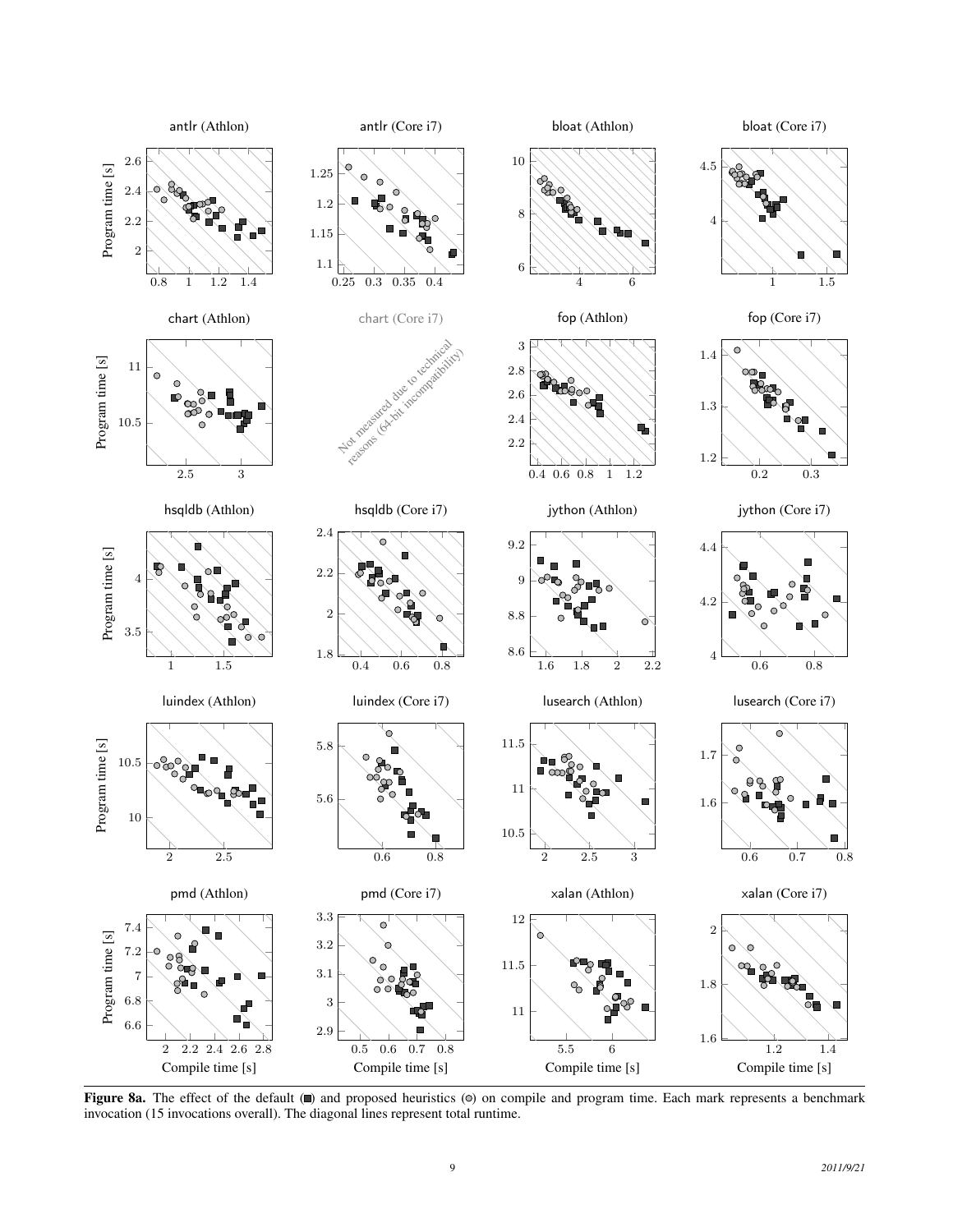<span id="page-8-0"></span>

Figure 8a. The effect of the default ( $\blacksquare$ ) and proposed heuristics ( $\heartsuit$ ) on compile and program time. Each mark represents a benchmark invocation (15 invocations overall). The diagonal lines represent total runtime.